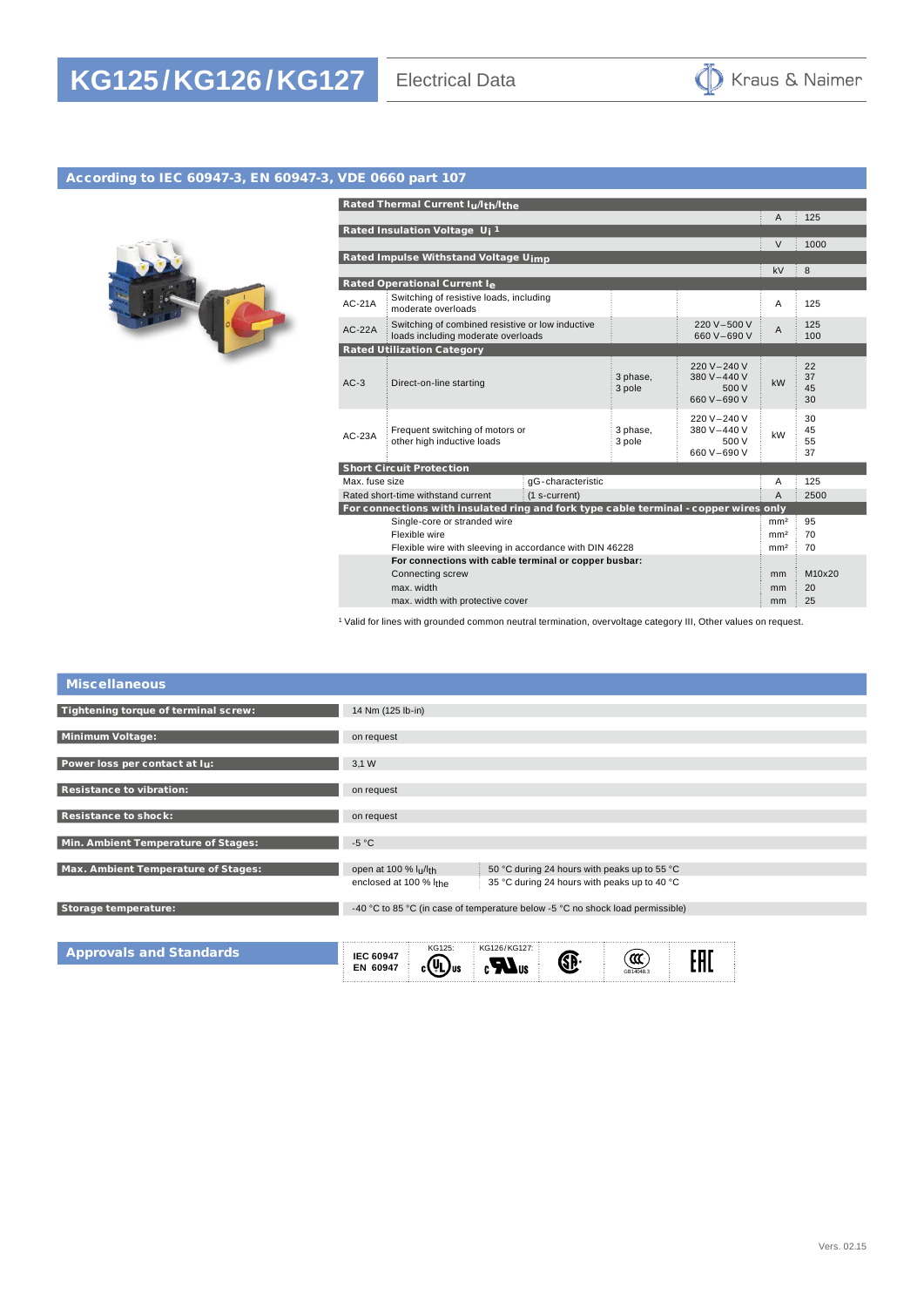

## According to IEC 60947-3, EN 60947-3, VDE 0660 part 107



|                                                                                      | Rated Thermal Current Iu/Ith/Ithe                                                      |                    |                                                    |                 |                      |  |
|--------------------------------------------------------------------------------------|----------------------------------------------------------------------------------------|--------------------|----------------------------------------------------|-----------------|----------------------|--|
|                                                                                      |                                                                                        |                    |                                                    | A               | 125                  |  |
| Rated Insulation Voltage Uj <sup>1</sup>                                             |                                                                                        |                    |                                                    |                 |                      |  |
|                                                                                      |                                                                                        |                    |                                                    | $\vee$          | 1000                 |  |
|                                                                                      | Rated Impulse Withstand Voltage Uimp                                                   |                    |                                                    |                 |                      |  |
|                                                                                      |                                                                                        |                    |                                                    | kV              | $\frac{1}{2}$ 8      |  |
|                                                                                      | Rated Operational Current Ie                                                           |                    |                                                    |                 |                      |  |
| $AC-21A$                                                                             | Switching of resistive loads, including<br>moderate overloads                          |                    |                                                    | A               | 125                  |  |
| $AC-22A$                                                                             | Switching of combined resistive or low inductive<br>loads including moderate overloads |                    | 220 V-500 V<br>660 V-690 V                         | $\overline{A}$  | 125<br>100           |  |
|                                                                                      | <b>Rated Utilization Category</b>                                                      |                    |                                                    |                 |                      |  |
| $AC-3$                                                                               | Direct-on-line starting                                                                | 3 phase,<br>3 pole | 220 V-240 V<br>380 V-440 V<br>500 V<br>660 V-690 V | kW              | 22<br>37<br>45<br>30 |  |
| $AC-23A$                                                                             | Frequent switching of motors or<br>other high inductive loads                          | 3 phase,<br>3 pole | 220 V-240 V<br>380 V-440 V<br>500 V<br>660 V-690 V | kW              | 30<br>45<br>55<br>37 |  |
| <b>Short Circuit Protection</b>                                                      |                                                                                        |                    |                                                    |                 |                      |  |
| Max, fuse size<br>qG-characteristic                                                  |                                                                                        |                    |                                                    | A               | 125                  |  |
| Rated short-time withstand current<br>(1 s-current)                                  |                                                                                        |                    | $\overline{A}$                                     | 2500            |                      |  |
| For connections with insulated ring and fork type cable terminal - copper wires only |                                                                                        |                    |                                                    |                 |                      |  |
| Single-core or stranded wire                                                         |                                                                                        |                    |                                                    | mm <sup>2</sup> | 95                   |  |
| Flexible wire                                                                        |                                                                                        |                    |                                                    | mm <sup>2</sup> | 70                   |  |
| Flexible wire with sleeving in accordance with DIN 46228                             |                                                                                        |                    |                                                    |                 | 70                   |  |
| For connections with cable terminal or copper busbar:                                |                                                                                        |                    |                                                    |                 |                      |  |
| Connecting screw                                                                     |                                                                                        |                    |                                                    | m <sub>m</sub>  | M10x20               |  |
| max. width                                                                           |                                                                                        |                    |                                                    | mm              | 20                   |  |
| max. width with protective cover                                                     |                                                                                        |                    |                                                    |                 | 25                   |  |

<sup>1</sup> Valid for lines with grounded common neutral termination, overvoltage category III, Other values on request.

| <b>Miscellaneous</b>                 |                                                                                                                                                            |
|--------------------------------------|------------------------------------------------------------------------------------------------------------------------------------------------------------|
| Tightening torque of terminal screw: | 14 Nm (125 lb-in)                                                                                                                                          |
| Minimum Voltage:                     | on request                                                                                                                                                 |
| Power loss per contact at lu:        | 3,1 W                                                                                                                                                      |
| <b>Resistance to vibration:</b>      | on request                                                                                                                                                 |
| <b>Resistance to shock:</b>          | on request                                                                                                                                                 |
| Min. Ambient Temperature of Stages:  | $-5 °C$                                                                                                                                                    |
| Max. Ambient Temperature of Stages:  | 50 °C during 24 hours with peaks up to 55 °C<br>open at 100 % lu/lth<br>enclosed at 100 % I <sub>the</sub><br>35 °C during 24 hours with peaks up to 40 °C |
| Storage temperature:                 | -40 °C to 85 °C (in case of temperature below -5 °C no shock load permissible)                                                                             |
| <b>Approvals and Standards</b>       | KG126/KG127:<br>KG125:<br><b>IEC 60947</b><br>6F<br>EN 60947<br>C ( SL<br>GR14048.3                                                                        |